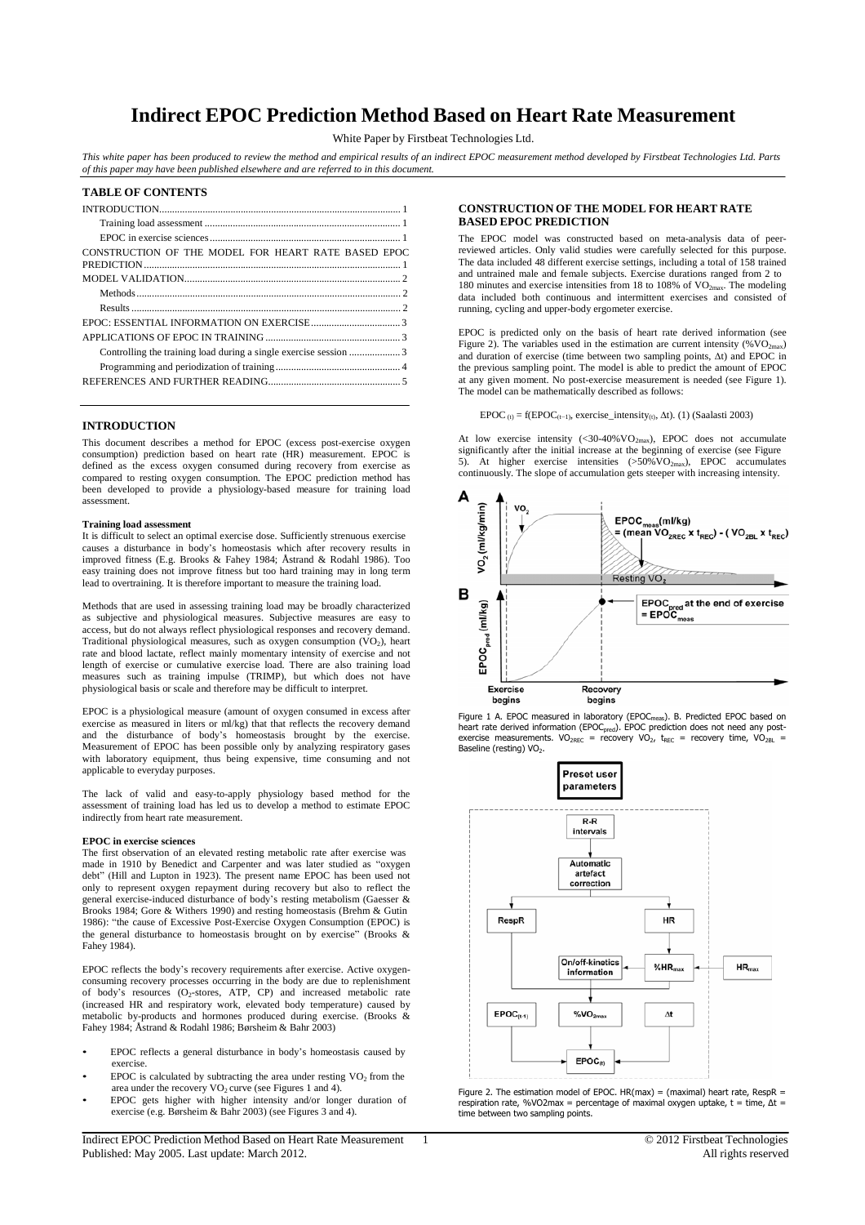# **Indirect EPOC Prediction Method Based on Heart Rate Measurement**

White Paper by Firstbeat Technologies Ltd.

This white paper has been produced to review the method and empirical results of an indirect EPOC measurement method developed by Firstbeat Technologies Ltd. Parts *of this paper may have been published elsewhere and are referred to in this document.*

| <b>TABLE OF CONTENTS</b>                            |
|-----------------------------------------------------|
|                                                     |
|                                                     |
|                                                     |
| CONSTRUCTION OF THE MODEL FOR HEART RATE BASED EPOC |
|                                                     |
|                                                     |
|                                                     |
|                                                     |
|                                                     |
|                                                     |
|                                                     |
|                                                     |

## **INTRODUCTION**

This document describes a method for EPOC (excess post-exercise oxygen consumption) prediction based on heart rate (HR) measurement. EPOC is defined as the excess oxygen consumed during recovery from exercise as compared to resting oxygen consumption. The EPOC prediction method has been developed to provide a physiology-based measure for training load assessment.

#### **Training load assessment**

It is difficult to select an optimal exercise dose. Sufficiently strenuous exercise causes a disturbance in body's homeostasis which after recovery results in improved fitness (E.g. Brooks & Fahey 1984; Åstrand & Rodahl 1986). Too easy training does not improve fitness but too hard training may in long term lead to overtraining. It is therefore important to measure the training load.

Methods that are used in assessing training load may be broadly characterized as subjective and physiological measures. Subjective measures are easy to access, but do not always reflect physiological responses and recovery demand. Traditional physiological measures, such as oxygen consumption  $(VO<sub>2</sub>)$ , heart rate and blood lactate, reflect mainly momentary intensity of exercise and not length of exercise or cumulative exercise load. There are also training load measures such as training impulse (TRIMP), but which does not have physiological basis or scale and therefore may be difficult to interpret.

EPOC is a physiological measure (amount of oxygen consumed in excess after exercise as measured in liters or ml/kg) that that reflects the recovery demand and the disturbance of body's homeostasis brought by the exercise. Measurement of EPOC has been possible only by analyzing respiratory gases with laboratory equipment, thus being expensive, time consuming and not applicable to everyday purposes.

The lack of valid and easy-to-apply physiology based method for the assessment of training load has led us to develop a method to estimate EPOC indirectly from heart rate measurement.

#### **EPOC in exercise sciences**

The first observation of an elevated resting metabolic rate after exercise was made in 1910 by Benedict and Carpenter and was later studied as "oxygen debt" (Hill and Lupton in 1923). The present name EPOC has been used not only to represent oxygen repayment during recovery but also to reflect the general exercise-induced disturbance of body's resting metabolism (Gaesser & Brooks 1984; Gore & Withers 1990) and resting homeostasis (Brehm & Gutin 1986): "the cause of Excessive Post-Exercise Oxygen Consumption (EPOC) is the general disturbance to homeostasis brought on by exercise" (Brooks & Fahey 1984).

EPOC reflects the body's recovery requirements after exercise. Active oxygenconsuming recovery processes occurring in the body are due to replenishment of body's resources (O2-stores, ATP, CP) and increased metabolic rate (increased HR and respiratory work, elevated body temperature) caused by metabolic by-products and hormones produced during exercise. (Brooks & Fahey 1984; Åstrand & Rodahl 1986; Børsheim & Bahr 2003)

- EPOC reflects a general disturbance in body's homeostasis caused by exercise.
- $EPOC$  is calculated by subtracting the area under resting  $VO<sub>2</sub>$  from the area under the recovery  $VO<sub>2</sub>$  curve (see Figures 1 and 4).
- EPOC gets higher with higher intensity and/or longer duration of exercise (e.g. Børsheim & Bahr 2003) (see Figures 3 and 4).

Indirect EPOC Prediction Method Based on Heart Rate Measurement 1 Published: May 2005. Last update: March 2012.

### **CONSTRUCTION OF THE MODEL FOR HEART RATE BASED EPOC PREDICTION**

The EPOC model was constructed based on meta-analysis data of peerreviewed articles. Only valid studies were carefully selected for this purpose. The data included 48 different exercise settings, including a total of 158 trained and untrained male and female subjects. Exercise durations ranged from 2 to 180 minutes and exercise intensities from 18 to 108% of VO<sub>2max</sub>. The modeling data included both continuous and intermittent exercises and consisted of running, cycling and upper-body ergometer exercise.

EPOC is predicted only on the basis of heart rate derived information (see Figure 2). The variables used in the estimation are current intensity (% $VO<sub>2max</sub>$ ) and duration of exercise (time between two sampling points, ∆t) and EPOC in the previous sampling point. The model is able to predict the amount of EPOC at any given moment. No post-exercise measurement is needed (see Figure 1). The model can be mathematically described as follows:

EPOC  $_{(t)}$  = f(EPOC<sub>(t−1)</sub>, exercise\_intensity<sub>(t)</sub>,  $\Delta t$ ). (1) (Saalasti 2003)

At low exercise intensity  $( $30-40\% \text{VO}_{2\text{max}}$ ), EPOC does not accumulate$ significantly after the initial increase at the beginning of exercise (see Figure 5). At higher exercise intensities  $(>50\%\text{VO}_{2\text{max}})$ , EPOC accumulates continuously. The slope of accumulation gets steeper with increasing intensity.



Figure 1 A. EPOC measured in laboratory (EPOC<sub>meas</sub>). B. Predicted EPOC based on heart rate derived information (EPOC<sub>pred</sub>). EPOC prediction does not need any post-<br>exercise measurements. VO<sub>2REC</sub> = recovery VO<sub>2</sub>, t<sub>REC</sub> = recovery time, VO<sub>2BL</sub> = Baseline (resting) VO<sub>2</sub>.



Figure 2. The estimation model of EPOC.  $HR(max) = (maximal)$  heart rate, RespR = respiration rate, %VO2max = percentage of maximal oxygen uptake,  $t = time$ ,  $\Delta t =$ time between two sampling points.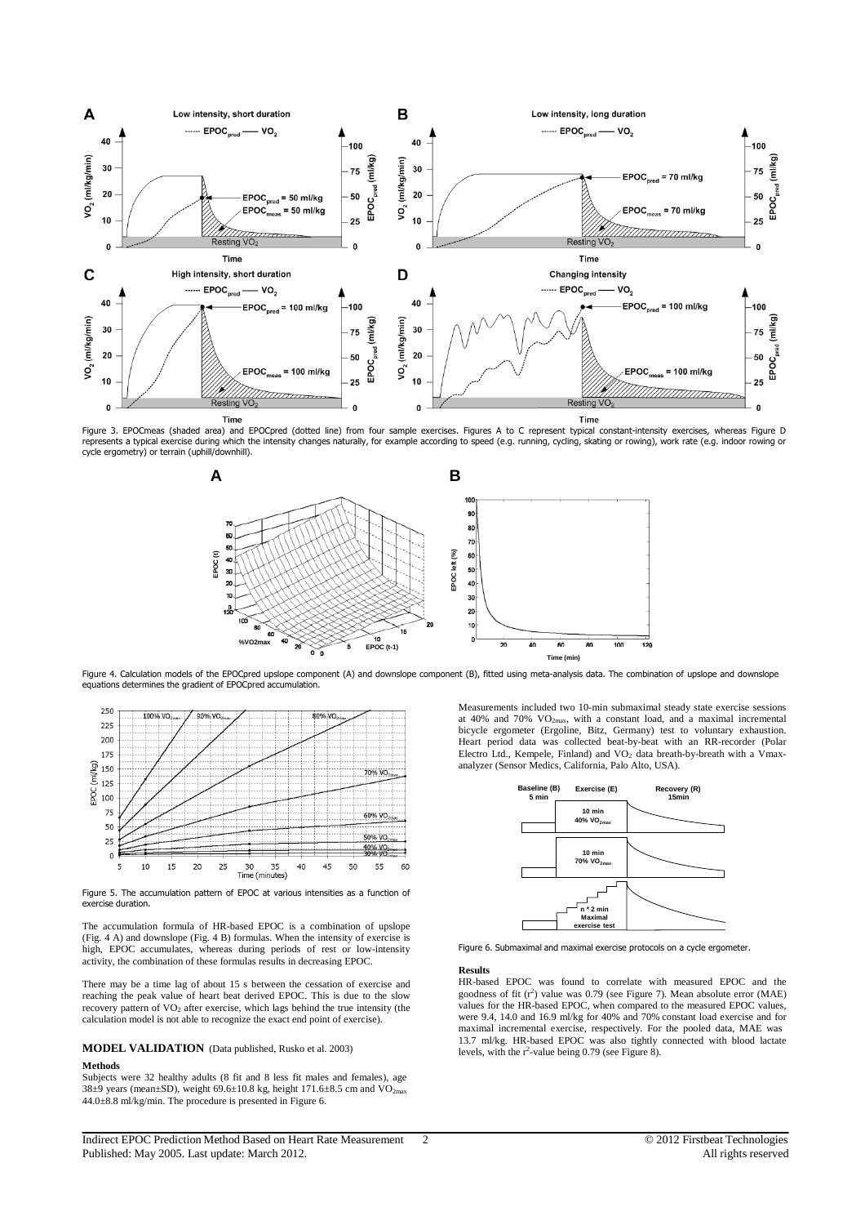

Figure 3. EPOCmeas (shaded area) and EPOCpred (dotted line) from four sample exercises. Figures A to C represent typical constant-intensity exercises, whereas Figure D<br>represents a typical exercise during which the intensi cycle ergometry) or terrain (uphill/downhill).



Figure 4. Calculation models of the EPOCpred upslope component (A) and downslope component (B), fitted using meta-analysis data. The combination of upslope and downslope equations determines the gradient of EPOCpred accumulation.



Figure 5. The accumulation pattern of EPOC at various intensities as a function of exercise duration.

The accumulation formula of HR-based EPOC is a combination of upslope (Fig. 4 A) and downslope (Fig. 4 B) formulas. When the intensity of exercise is high, EPOC accumulates, whereas during periods of rest or low-intensity activity, the combination of these formulas results in decreasing EPOC.

There may be a time lag of about 15 s between the cessation of exercise and reaching the peak value of heart beat derived EPOC. This is due to the slow recovery pattern of VO<sub>2</sub> after exercise, which lags behind the true intensity (the calculation model is not able to recognize the exact end point of exercise).

#### **MODEL VALIDATION** (Data published, Rusko et al. 2003) **Methods**

Subjects were 32 healthy adults (8 fit and 8 less fit males and females), age 38±9 years (mean±SD), weight 69.6±10.8 kg, height 171.6±8.5 cm and  $\rm VO_{2max}$ 44.0±8.8 ml/kg/min. The procedure is presented in Figure 6.

Indirect EPOC Prediction Method Based on Heart Rate Measurement 2 Published: May 2005. Last update: March 2012.

Measurements included two 10-min submaximal steady state exercise sessions at 40% and 70% VO2max, with a constant load, and a maximal incremental bicycle ergometer (Ergoline, Bitz, Germany) test to voluntary exhaustion. Heart period data was collected beat-by-beat with an RR-recorder (Polar Electro Ltd., Kempele, Finland) and VO<sub>2</sub> data breath-by-breath with a Vmaxanalyzer (Sensor Medics, California, Palo Alto, USA).



Figure 6. Submaximal and maximal exercise protocols on a cycle ergometer.

## **Results**

HR-based EPOC was found to correlate with measured EPOC and the goodness of fit  $(r^2)$  value was 0.79 (see Figure 7). Mean absolute error (MAE) values for the HR-based EPOC, when compared to the measured EPOC values, were 9.4, 14.0 and 16.9 ml/kg for 40% and 70% constant load exercise and for maximal incremental exercise, respectively. For the pooled data, MAE was 13.7 ml/kg. HR-based EPOC was also tightly connected with blood lactate levels, with the  $r^2$ -value being 0.79 (see Figure 8).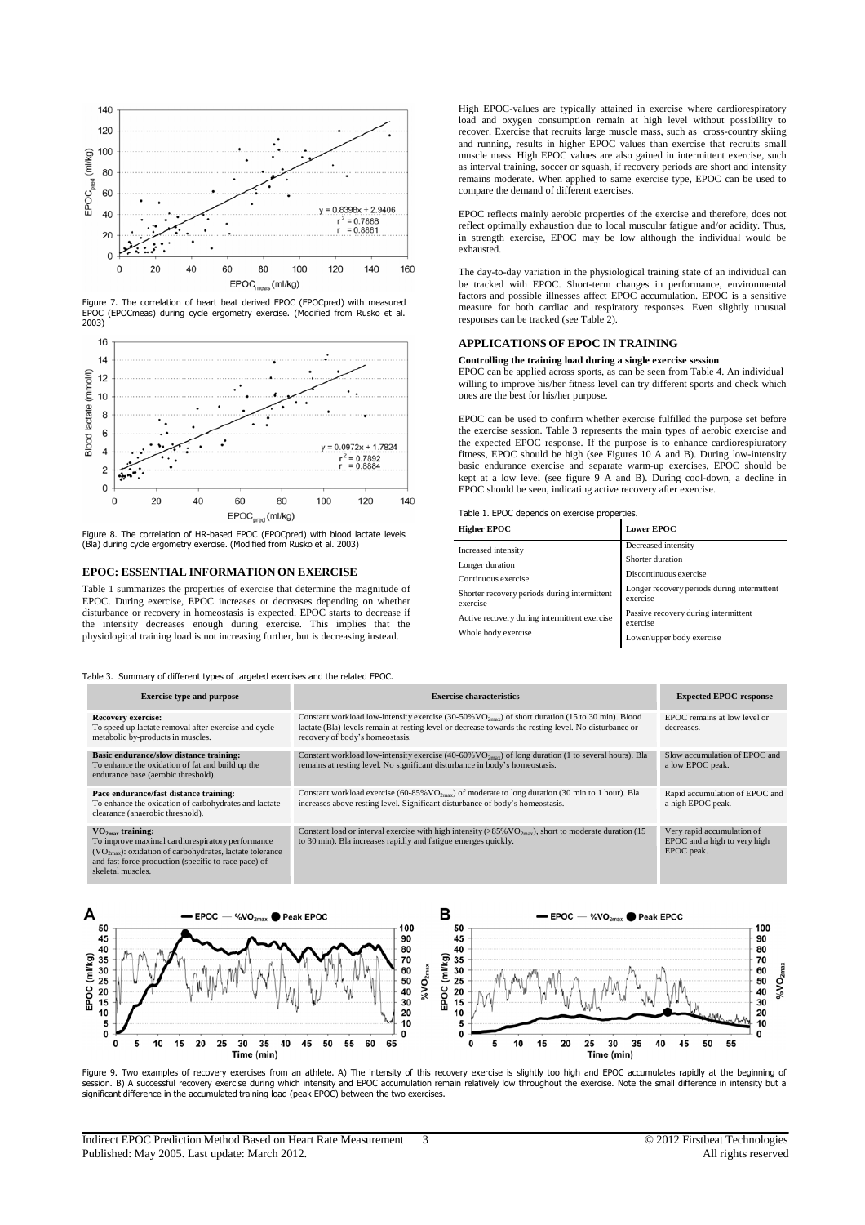

Figure 7. The correlation of heart beat derived EPOC (EPOCpred) with measured EPOC (EPOCmeas) during cycle ergometry exercise. (Modified from Rusko et al. 2003)



Figure 8. The correlation of HR-based EPOC (EPOCpred) with blood lactate levels (Bla) during cycle ergometry exercise. (Modified from Rusko et al. 2003)

# **EPOC: ESSENTIAL INFORMATION ON EXERCISE**

Table 1 summarizes the properties of exercise that determine the magnitude of EPOC. During exercise, EPOC increases or decreases depending on whether disturbance or recovery in homeostasis is expected. EPOC starts to decrease if the intensity decreases enough during exercise. This implies that the physiological training load is not increasing further, but is decreasing instead.

Table 3. Summary of different types of targeted exercises and the related EPOC.

High EPOC-values are typically attained in exercise where cardiorespiratory load and oxygen consumption remain at high level without possibility to recover. Exercise that recruits large muscle mass, such as cross-country skiing and running, results in higher EPOC values than exercise that recruits small muscle mass. High EPOC values are also gained in intermittent exercise, such as interval training, soccer or squash, if recovery periods are short and intensity remains moderate. When applied to same exercise type, EPOC can be used to compare the demand of different exercises.

EPOC reflects mainly aerobic properties of the exercise and therefore, does not reflect optimally exhaustion due to local muscular fatigue and/or acidity. Thus, in strength exercise, EPOC may be low although the individual would be exhausted.

The day-to-day variation in the physiological training state of an individual can be tracked with EPOC. Short-term changes in performance, environmental factors and possible illnesses affect EPOC accumulation. EPOC is a sensitive measure for both cardiac and respiratory responses. Even slightly unusual responses can be tracked (see Table 2).

## **APPLICATIONS OF EPOC IN TRAINING**

## **Controlling the training load during a single exercise session**

EPOC can be applied across sports, as can be seen from Table 4. An individual willing to improve his/her fitness level can try different sports and check which ones are the best for his/her purpose.

EPOC can be used to confirm whether exercise fulfilled the purpose set before the exercise session. Table 3 represents the main types of aerobic exercise and the expected EPOC response. If the purpose is to enhance cardiorespiuratory fitness, EPOC should be high (see Figures 10 A and B). During low-intensity basic endurance exercise and separate warm-up exercises, EPOC should be kept at a low level (see figure 9 A and B). During cool-down, a decline in EPOC should be seen, indicating active recovery after exercise.

| Table 1. EPOC depends on exercise properties. |  |
|-----------------------------------------------|--|
|-----------------------------------------------|--|

| <b>Higher EPOC</b>                                       | <b>Lower EPOC</b>                                       |
|----------------------------------------------------------|---------------------------------------------------------|
| Increased intensity                                      | Decreased intensity                                     |
| Longer duration                                          | Shorter duration                                        |
| Continuous exercise                                      | Discontinuous exercise                                  |
| Shorter recovery periods during intermittent<br>exercise | Longer recovery periods during intermittent<br>exercise |
| Active recovery during intermittent exercise             | Passive recovery during intermittent<br>exercise        |
| Whole body exercise                                      | Lower/upper body exercise                               |

| <b>Exercise type and purpose</b>                                                                                                                                                                                               | <b>Exercise characteristics</b>                                                                                                                                                                                                                 | <b>Expected EPOC-response</b>                                            |
|--------------------------------------------------------------------------------------------------------------------------------------------------------------------------------------------------------------------------------|-------------------------------------------------------------------------------------------------------------------------------------------------------------------------------------------------------------------------------------------------|--------------------------------------------------------------------------|
| <b>Recovery exercise:</b><br>To speed up lactate removal after exercise and cycle<br>metabolic by-products in muscles.                                                                                                         | Constant workload low-intensity exercise (30-50% $VO2max$ ) of short duration (15 to 30 min). Blood<br>lactate (Bla) levels remain at resting level or decrease towards the resting level. No disturbance or<br>recovery of body's homeostasis. | EPOC remains at low level or<br>decreases.                               |
| Basic endurance/slow distance training:<br>To enhance the oxidation of fat and build up the<br>endurance base (aerobic threshold).                                                                                             | Constant workload low-intensity exercise (40-60% $VO_{2\text{max}}$ ) of long duration (1 to several hours). Bla<br>remains at resting level. No significant disturbance in body's homeostasis.                                                 | Slow accumulation of EPOC and<br>a low EPOC peak.                        |
| Pace endurance/fast distance training:<br>To enhance the oxidation of carbohydrates and lactate<br>clearance (anaerobic threshold).                                                                                            | Constant workload exercise (60-85% $VO_{2max}$ ) of moderate to long duration (30 min to 1 hour). Bla<br>increases above resting level. Significant disturbance of body's homeostasis.                                                          | Rapid accumulation of EPOC and<br>a high EPOC peak.                      |
| VO <sub>2max</sub> training:<br>To improve maximal cardiorespiratory performance<br>$(VO_{2max})$ : oxidation of carbohydrates, lactate tolerance<br>and fast force production (specific to race pace) of<br>skeletal muscles. | Constant load or interval exercise with high intensity (>85% VO <sub>2max</sub> ), short to moderate duration (15<br>to 30 min). Bla increases rapidly and fatigue emerges quickly.                                                             | Very rapid accumulation of<br>EPOC and a high to very high<br>EPOC peak. |



Figure 9. Two examples of recovery exercises from an athlete. A) The intensity of this recovery exercise is slightly too high and EPOC accumulates rapidly at the beginning of session. B) A successful recovery exercise during which intensity and EPOC accumulation remain relatively low throughout the exercise. Note the small difference in intensity but a significant difference in the accumulated training load (peak EPOC) between the two exercises.

Indirect EPOC Prediction Method Based on Heart Rate Measurement 3 Published: May 2005. Last update: March 2012.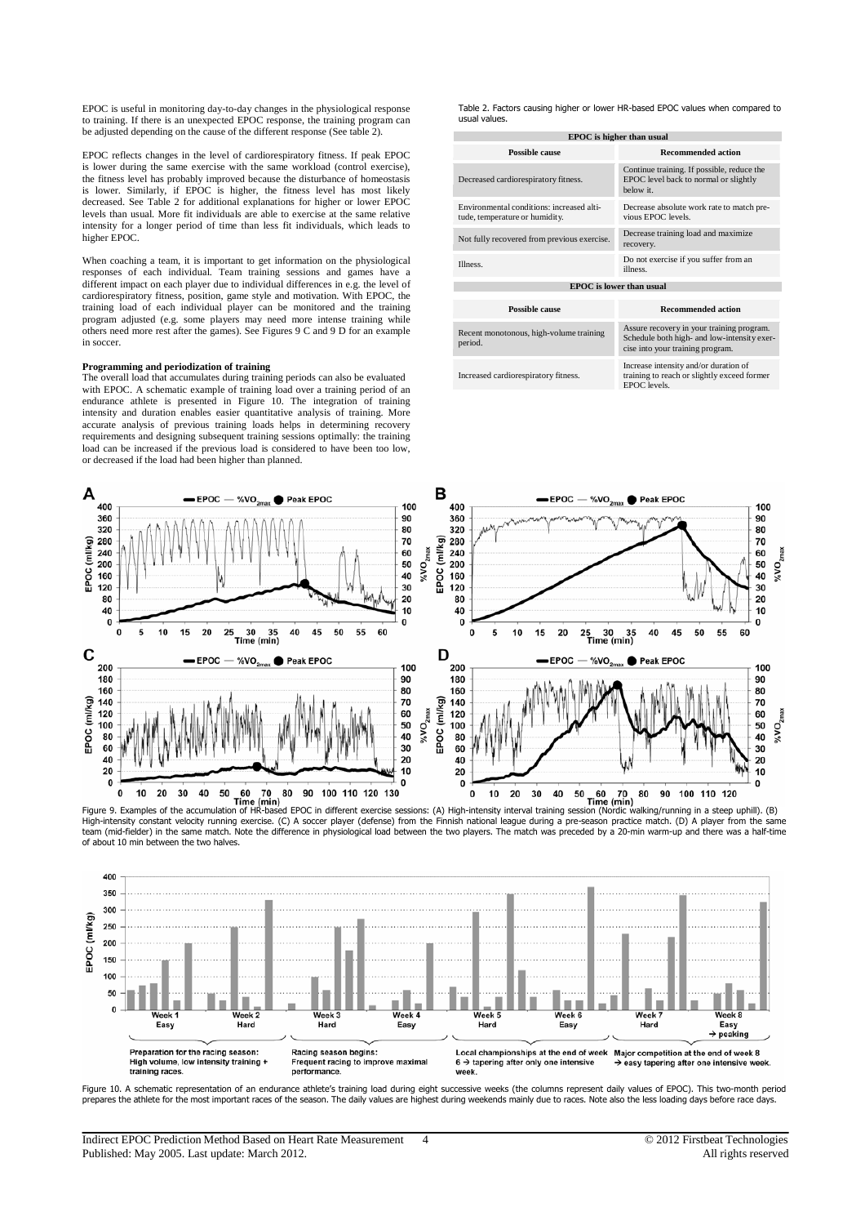EPOC is useful in monitoring day-to-day changes in the physiological response to training. If there is an unexpected EPOC response, the training program can be adjusted depending on the cause of the different response (See table 2).

EPOC reflects changes in the level of cardiorespiratory fitness. If peak EPOC is lower during the same exercise with the same workload (control exercise), the fitness level has probably improved because the disturbance of homeostasis is lower. Similarly, if EPOC is higher, the fitness level has most likely decreased. See Table 2 for additional explanations for higher or lower EPOC levels than usual. More fit individuals are able to exercise at the same relative intensity for a longer period of time than less fit individuals, which leads to higher EPOC.

When coaching a team, it is important to get information on the physiological responses of each individual. Team training sessions and games have a different impact on each player due to individual differences in e.g. the level of cardiorespiratory fitness, position, game style and motivation. With EPOC, the training load of each individual player can be monitored and the training program adjusted (e.g. some players may need more intense training while others need more rest after the games). See Figures 9 C and 9 D for an example in soccer.

#### **Programming and periodization of training**

The overall load that accumulates during training periods can also be evaluated with EPOC. A schematic example of training load over a training period of an endurance athlete is presented in Figure 10. The integration of training intensity and duration enables easier quantitative analysis of training. More accurate analysis of previous training loads helps in determining recovery requirements and designing subsequent training sessions optimally: the training load can be increased if the previous load is considered to have been too low, or decreased if the load had been higher than planned.

Table 2. Factors causing higher or lower HR-based EPOC values when compared to usual values.

| <b>EPOC</b> is higher than usual                                            |                                                                                                                              |  |  |  |
|-----------------------------------------------------------------------------|------------------------------------------------------------------------------------------------------------------------------|--|--|--|
| Possible cause                                                              | <b>Recommended action</b>                                                                                                    |  |  |  |
| Decreased cardiorespiratory fitness.                                        | Continue training. If possible, reduce the<br>EPOC level back to normal or slightly<br>below it.                             |  |  |  |
| Environmental conditions: increased alti-<br>tude, temperature or humidity. | Decrease absolute work rate to match pre-<br>vious EPOC levels.                                                              |  |  |  |
| Not fully recovered from previous exercise.                                 | Decrease training load and maximize<br>recovery.                                                                             |  |  |  |
| Illness.                                                                    | Do not exercise if you suffer from an<br>illness.                                                                            |  |  |  |
| <b>EPOC</b> is lower than usual                                             |                                                                                                                              |  |  |  |
|                                                                             |                                                                                                                              |  |  |  |
| Possible cause                                                              | <b>Recommended action</b>                                                                                                    |  |  |  |
| Recent monotonous, high-volume training<br>period.                          | Assure recovery in your training program.<br>Schedule both high- and low-intensity exer-<br>cise into your training program. |  |  |  |
| Increased cardiorespiratory fitness.                                        | Increase intensity and/or duration of<br>training to reach or slightly exceed former<br>EPOC levels.                         |  |  |  |



Figure 9. Examples of the accumulation of HR-based EPOC in different exercise sessions: (A) High-intensity interval training session (Nordic walking/running in a steep uphill). (B)<br>High-intensity constant velocity running team (mid-fielder) in the same match. Note the difference in physiological load between the two players. The match was preceded by a 20-min warm-up and there was a half-time of about 10 min between the two halves.



Figure 10. A schematic representation of an endurance athlete's training load during eight successive weeks (the columns represent daily values of EPOC). This two-month period prepares the athlete for the most important races of the season. The daily values are highest during weekends mainly due to races. Note also the less loading days before race days.